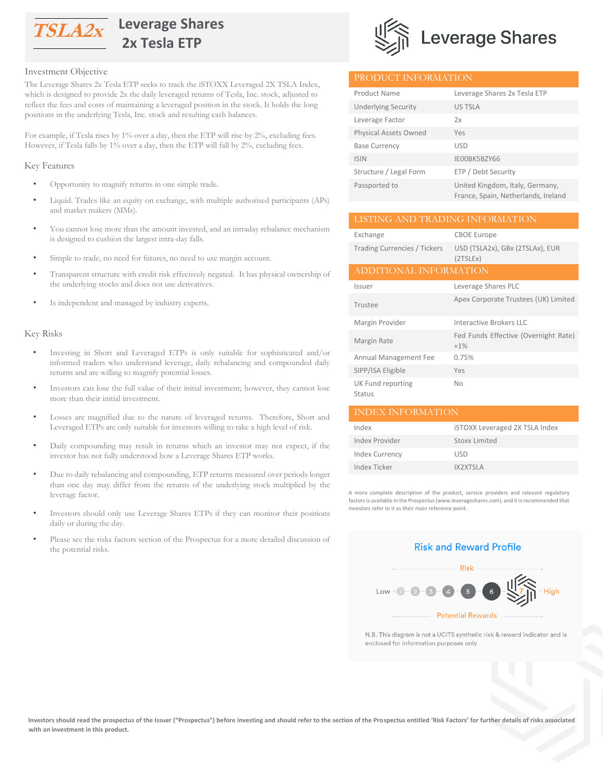

# **Leverage Shares 2x Tesla ETP**

## Investment Objective

The Leverage Shares 2x Tesla ETP seeks to track the iSTOXX Leveraged 2X TSLA Index, which is designed to provide 2x the daily leveraged returns of Tesla, Inc. stock, adjusted to reflect the fees and costs of maintaining a leveraged position in the stock. It holds the long positions in the underlying Tesla, Inc. stock and resulting cash balances.

For example, if Tesla rises by 1% over a day, then the ETP will rise by 2%, excluding fees. However, if Tesla falls by 1% over a day, then the ETP will fall by 2%, excluding fees.

## Key Features

- Opportunity to magnify returns in one simple trade.
- Liquid. Trades like an equity on exchange, with multiple authorised participants (APs) and market makers (MMs).
- You cannot lose more than the amount invested, and an intraday rebalance mechanism is designed to cushion the largest intra-day falls.
- Simple to trade, no need for futures, no need to use margin account.
- Transparent structure with credit risk effectively negated. It has physical ownership of the underlying stocks and does not use derivatives.
- Is independent and managed by industry experts.

## Key Risks

- Investing in Short and Leveraged ETPs is only suitable for sophisticated and/or informed traders who understand leverage, daily rebalancing and compounded daily returns and are willing to magnify potential losses.
- Investors can lose the full value of their initial investment; however, they cannot lose more than their initial investment.
- Losses are magnified due to the nature of leveraged returns. Therefore, Short and Leveraged ETPs are only suitable for investors willing to take a high level of risk.
- Daily compounding may result in returns which an investor may not expect, if the investor has not fully understood how a Leverage Shares ETP works.
- Due to daily rebalancing and compounding, ETP returns measured over periods longer than one day may differ from the returns of the underlying stock multiplied by the leverage factor.
- Investors should only use Leverage Shares ETPs if they can monitor their positions daily or during the day.
- Please see the risks factors section of the Prospectus for a more detailed discussion of the potential risks.



| PRODUCT INFORMATION          |                                                                        |
|------------------------------|------------------------------------------------------------------------|
| Product Name                 | Leverage Shares 2x Tesla ETP                                           |
| <b>Underlying Security</b>   | <b>US TSLA</b>                                                         |
| Leverage Factor              | 2x                                                                     |
| <b>Physical Assets Owned</b> | Yes                                                                    |
| <b>Base Currency</b>         | <b>USD</b>                                                             |
| <b>ISIN</b>                  | IEOOBK5BZY66                                                           |
| Structure / Legal Form       | ETP / Debt Security                                                    |
| Passported to                | United Kingdom, Italy, Germany,<br>France, Spain, Netherlands, Ireland |

# LISTING AND TRADING INFORMATION

| Exchange                     | <b>CBOE Europe</b>                            |  |
|------------------------------|-----------------------------------------------|--|
| Trading Currencies / Tickers | USD (TSLA2x), GBx (2TSLAx), EUR<br>(2TSLEx)   |  |
| ADDITIONAL INFORMATION       |                                               |  |
| Issuer                       | Leverage Shares PLC                           |  |
| Trustee                      | Apex Corporate Trustees (UK) Limited          |  |
| Margin Provider              | Interactive Brokers LLC                       |  |
| Margin Rate                  | Fed Funds Effective (Overnight Rate)<br>$+1%$ |  |
| Annual Management Fee        | 0.75%                                         |  |
| SIPP/ISA Eligible            | Yes                                           |  |
| UK Fund reporting<br>Status  | No                                            |  |

| <b>INDEX INFORMATION</b> |                                       |
|--------------------------|---------------------------------------|
| Index                    | <b>iSTOXX Leveraged 2X TSLA Index</b> |
| Index Provider           | Stoxx Limited                         |
| <b>Index Currency</b>    | <b>USD</b>                            |
| Index Ticker             | <b>IX2XTSIA</b>                       |

A more complete description of the product, service providers and relevant regulatory factors is available in the Prospectus (www.leverageshares.com), and it is recommended that investors refer to it as their main reference point.

# **Risk and Reward Profile**



N.B. This diagram is not a UCITS synthetic risk & reward indicator and is enclosed for information purposes only

Investors should read the prospectus of the Issuer ("Prospectus") before investing and should refer to the section of the Prospectus entitled 'Risk Factors' for further details of risks associated **with an investment in this product.**